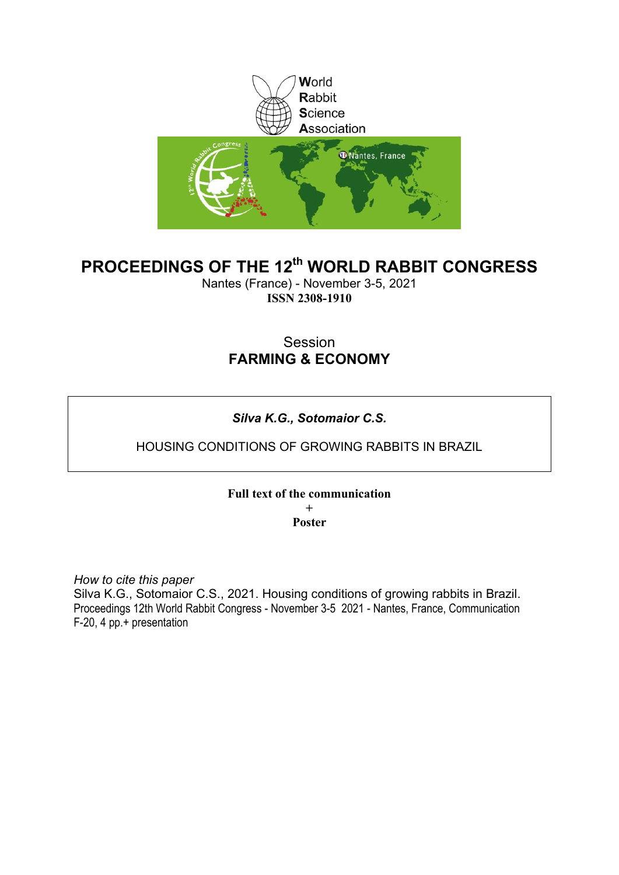

# **PROCEEDINGS OF THE 12th WORLD RABBIT CONGRESS**

Nantes (France) - November 3-5, 2021 **ISSN 2308-1910**

## Session **FARMING & ECONOMY**

# *Silva K.G., Sotomaior C.S.*

## HOUSING CONDITIONS OF GROWING RABBITS IN BRAZIL

## **Full text of the communication + Poster**

*How to cite this paper*

Silva K.G., Sotomaior C.S., 2021. Housing conditions of growing rabbits in Brazil. Proceedings 12th World Rabbit Congress - November 3-5 2021 - Nantes, France, Communication F-20, 4 pp.+ presentation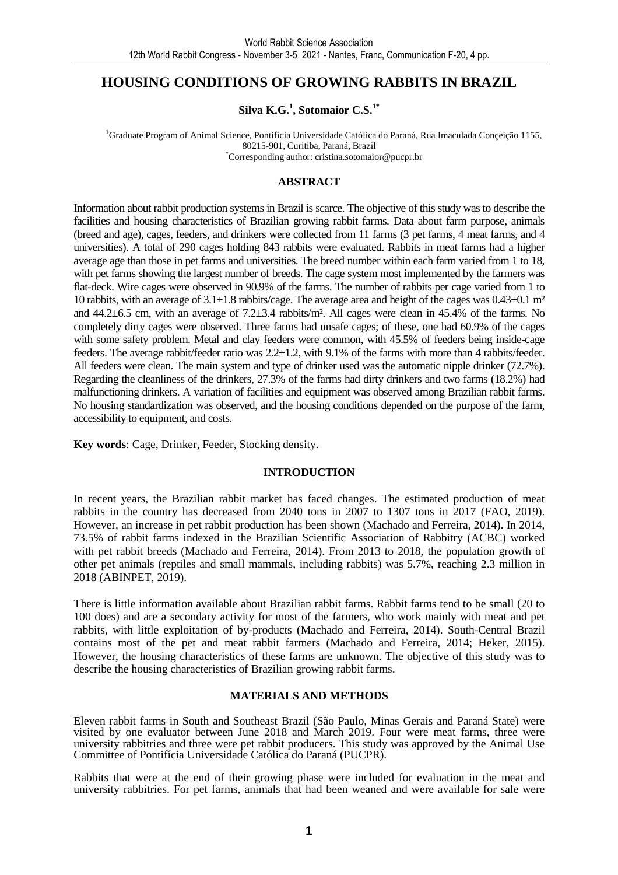## **HOUSING CONDITIONS OF GROWING RABBITS IN BRAZIL**

**Silva K.G.<sup>1</sup> , Sotomaior C.S.1\***

<sup>1</sup>Graduate Program of Animal Science, Pontifícia Universidade Católica do Paraná, Rua Imaculada Conçeição 1155, 80215-901, Curitiba, Paraná, Brazil \*Corresponding author: cristina.sotomaior@pucpr.br

### **ABSTRACT**

Information about rabbit production systems in Brazil is scarce. The objective of this study was to describe the facilities and housing characteristics of Brazilian growing rabbit farms. Data about farm purpose, animals (breed and age), cages, feeders, and drinkers were collected from 11 farms (3 pet farms, 4 meat farms, and 4 universities). A total of 290 cages holding 843 rabbits were evaluated. Rabbits in meat farms had a higher average age than those in pet farms and universities. The breed number within each farm varied from 1 to 18, with pet farms showing the largest number of breeds. The cage system most implemented by the farmers was flat-deck. Wire cages were observed in 90.9% of the farms. The number of rabbits per cage varied from 1 to 10 rabbits, with an average of  $3.1\pm1.8$  rabbits/cage. The average area and height of the cages was  $0.43\pm0.1$  m<sup>2</sup> and 44.2±6.5 cm, with an average of 7.2±3.4 rabbits/m². All cages were clean in 45.4% of the farms. No completely dirty cages were observed. Three farms had unsafe cages; of these, one had 60.9% of the cages with some safety problem. Metal and clay feeders were common, with 45.5% of feeders being inside-cage feeders. The average rabbit/feeder ratio was 2.2±1.2, with 9.1% of the farms with more than 4 rabbits/feeder. All feeders were clean. The main system and type of drinker used was the automatic nipple drinker (72.7%). Regarding the cleanliness of the drinkers, 27.3% of the farms had dirty drinkers and two farms (18.2%) had malfunctioning drinkers. A variation of facilities and equipment was observed among Brazilian rabbit farms. No housing standardization was observed, and the housing conditions depended on the purpose of the farm, accessibility to equipment, and costs.

**Key words**: Cage, Drinker, Feeder, Stocking density.

### **INTRODUCTION**

In recent years, the Brazilian rabbit market has faced changes. The estimated production of meat rabbits in the country has decreased from 2040 tons in 2007 to 1307 tons in 2017 (FAO, 2019). However, an increase in pet rabbit production has been shown (Machado and Ferreira, 2014). In 2014, 73.5% of rabbit farms indexed in the Brazilian Scientific Association of Rabbitry (ACBC) worked with pet rabbit breeds (Machado and Ferreira, 2014). From 2013 to 2018, the population growth of other pet animals (reptiles and small mammals, including rabbits) was 5.7%, reaching 2.3 million in 2018 (ABINPET, 2019).

There is little information available about Brazilian rabbit farms. Rabbit farms tend to be small (20 to 100 does) and are a secondary activity for most of the farmers, who work mainly with meat and pet rabbits, with little exploitation of by-products (Machado and Ferreira, 2014). South-Central Brazil contains most of the pet and meat rabbit farmers (Machado and Ferreira, 2014; Heker, 2015). However, the housing characteristics of these farms are unknown. The objective of this study was to describe the housing characteristics of Brazilian growing rabbit farms.

### **MATERIALS AND METHODS**

Eleven rabbit farms in South and Southeast Brazil (São Paulo, Minas Gerais and Paraná State) were visited by one evaluator between June 2018 and March 2019. Four were meat farms, three were university rabbitries and three were pet rabbit producers. This study was approved by the Animal Use Committee of Pontifícia Universidade Católica do Paraná (PUCPR).

Rabbits that were at the end of their growing phase were included for evaluation in the meat and university rabbitries. For pet farms, animals that had been weaned and were available for sale were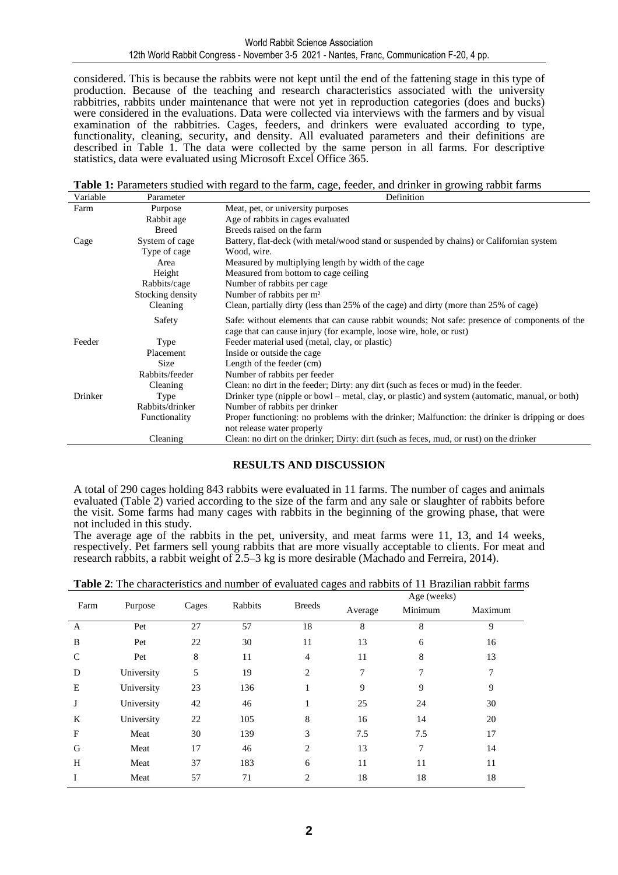#### World Rabbit Science Association 12th World Rabbit Congress - November 3-5 2021 - Nantes, Franc, Communication F-20, 4 pp.

considered. This is because the rabbits were not kept until the end of the fattening stage in this type of production. Because of the teaching and research characteristics associated with the university rabbitries, rabbits under maintenance that were not yet in reproduction categories (does and bucks) were considered in the evaluations. Data were collected via interviews with the farmers and by visual examination of the rabbitries. Cages, feeders, and drinkers were evaluated according to type, functionality, cleaning, security, and density. All evaluated parameters and their definitions are described in Table 1. The data were collected by the same person in all farms. For descriptive statistics, data were evaluated using Microsoft Excel Office 365.

**Table 1:** Parameters studied with regard to the farm, cage, feeder, and drinker in growing rabbit farms Variable

| Variable | Parameter        | Definition                                                                                                                                                          |  |  |  |
|----------|------------------|---------------------------------------------------------------------------------------------------------------------------------------------------------------------|--|--|--|
| Farm     | Purpose          | Meat, pet, or university purposes                                                                                                                                   |  |  |  |
|          | Rabbit age       | Age of rabbits in cages evaluated                                                                                                                                   |  |  |  |
|          | <b>Breed</b>     | Breeds raised on the farm                                                                                                                                           |  |  |  |
| Cage     | System of cage   | Battery, flat-deck (with metal/wood stand or suspended by chains) or Californian system                                                                             |  |  |  |
|          | Type of cage     | Wood, wire.                                                                                                                                                         |  |  |  |
|          | Area             | Measured by multiplying length by width of the cage                                                                                                                 |  |  |  |
|          | Height           | Measured from bottom to cage ceiling.                                                                                                                               |  |  |  |
|          | Rabbits/cage     | Number of rabbits per cage                                                                                                                                          |  |  |  |
|          | Stocking density | Number of rabbits per m <sup>2</sup>                                                                                                                                |  |  |  |
|          | Cleaning         | Clean, partially dirty (less than 25% of the cage) and dirty (more than 25% of cage)                                                                                |  |  |  |
|          | Safety           | Safe: without elements that can cause rabbit wounds; Not safe: presence of components of the<br>cage that can cause injury (for example, loose wire, hole, or rust) |  |  |  |
| Feeder   | Type             | Feeder material used (metal, clay, or plastic)                                                                                                                      |  |  |  |
|          | Placement        | Inside or outside the cage                                                                                                                                          |  |  |  |
|          | Size             | Length of the feeder (cm)                                                                                                                                           |  |  |  |
|          | Rabbits/feeder   | Number of rabbits per feeder                                                                                                                                        |  |  |  |
|          | Cleaning         | Clean: no dirt in the feeder; Dirty: any dirt (such as feces or mud) in the feeder.                                                                                 |  |  |  |
| Drinker  | Type             | Drinker type (nipple or bowl – metal, clay, or plastic) and system (automatic, manual, or both)                                                                     |  |  |  |
|          | Rabbits/drinker  | Number of rabbits per drinker                                                                                                                                       |  |  |  |
|          | Functionality    | Proper functioning: no problems with the drinker; Malfunction: the drinker is dripping or does                                                                      |  |  |  |
|          |                  | not release water properly                                                                                                                                          |  |  |  |
|          | Cleaning         | Clean: no dirt on the drinker; Dirty: dirt (such as feces, mud, or rust) on the drinker                                                                             |  |  |  |

### **RESULTS AND DISCUSSION**

A total of 290 cages holding 843 rabbits were evaluated in 11 farms. The number of cages and animals evaluated (Table 2) varied according to the size of the farm and any sale or slaughter of rabbits before the visit. Some farms had many cages with rabbits in the beginning of the growing phase, that were not included in this study.

The average age of the rabbits in the pet, university, and meat farms were 11, 13, and 14 weeks, respectively. Pet farmers sell young rabbits that are more visually acceptable to clients. For meat and research rabbits, a rabbit weight of  $\tilde{2.5}$ –3 kg is more desirable (Machado and Ferreira, 2014).

| Farm          | Purpose    | Cages | Rabbits | <b>Breeds</b>  | Age (weeks) |         |         |  |
|---------------|------------|-------|---------|----------------|-------------|---------|---------|--|
|               |            |       |         |                | Average     | Minimum | Maximum |  |
| $\mathbf{A}$  | Pet        | 27    | 57      | 18             | 8           | 8       | 9       |  |
| B             | Pet        | 22    | 30      | 11             | 13          | 6       | 16      |  |
| $\mathcal{C}$ | Pet        | 8     | 11      | $\overline{4}$ | 11          | 8       | 13      |  |
| D             | University | 5     | 19      | 2              | 7           | 7       | 7       |  |
| E             | University | 23    | 136     |                | 9           | 9       | 9       |  |
| J             | University | 42    | 46      |                | 25          | 24      | 30      |  |
| K             | University | 22    | 105     | 8              | 16          | 14      | 20      |  |
| F             | Meat       | 30    | 139     | 3              | 7.5         | 7.5     | 17      |  |
| G             | Meat       | 17    | 46      | 2              | 13          | 7       | 14      |  |
| H             | Meat       | 37    | 183     | 6              | 11          | 11      | 11      |  |
|               | Meat       | 57    | 71      | 2              | 18          | 18      | 18      |  |

**Table 2**: The characteristics and number of evaluated cages and rabbits of 11 Brazilian rabbit farms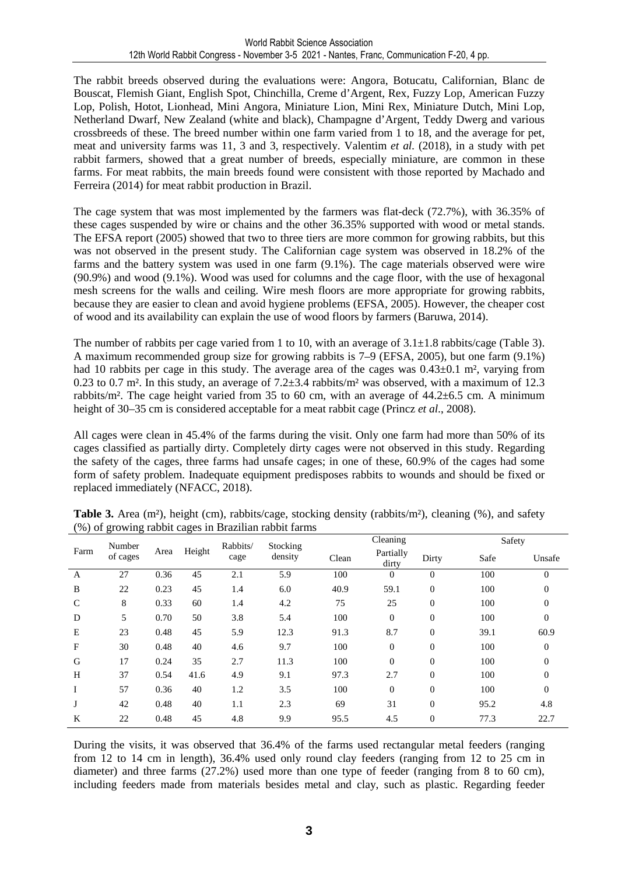The rabbit breeds observed during the evaluations were: Angora, Botucatu, Californian, Blanc de Bouscat, Flemish Giant, English Spot, Chinchilla, Creme d'Argent, Rex, Fuzzy Lop, American Fuzzy Lop, Polish, Hotot, Lionhead, Mini Angora, Miniature Lion, Mini Rex, Miniature Dutch, Mini Lop, Netherland Dwarf, New Zealand (white and black), Champagne d'Argent, Teddy Dwerg and various crossbreeds of these. The breed number within one farm varied from 1 to 18, and the average for pet, meat and university farms was 11, 3 and 3, respectively. Valentim *et al.* (2018), in a study with pet rabbit farmers, showed that a great number of breeds, especially miniature, are common in these farms. For meat rabbits, the main breeds found were consistent with those reported by Machado and Ferreira (2014) for meat rabbit production in Brazil.

The cage system that was most implemented by the farmers was flat-deck (72.7%), with 36.35% of these cages suspended by wire or chains and the other 36.35% supported with wood or metal stands. The EFSA report (2005) showed that two to three tiers are more common for growing rabbits, but this was not observed in the present study. The Californian cage system was observed in 18.2% of the farms and the battery system was used in one farm (9.1%). The cage materials observed were wire (90.9%) and wood (9.1%). Wood was used for columns and the cage floor, with the use of hexagonal mesh screens for the walls and ceiling. Wire mesh floors are more appropriate for growing rabbits, because they are easier to clean and avoid hygiene problems (EFSA, 2005). However, the cheaper cost of wood and its availability can explain the use of wood floors by farmers (Baruwa, 2014).

The number of rabbits per cage varied from 1 to 10, with an average of  $3.1 \pm 1.8$  rabbits/cage (Table 3). A maximum recommended group size for growing rabbits is 7–9 (EFSA, 2005), but one farm (9.1%) had 10 rabbits per cage in this study. The average area of the cages was  $0.43\pm0.1$  m<sup>2</sup>, varying from 0.23 to 0.7 m<sup>2</sup>. In this study, an average of  $7.2\pm3.4$  rabbits/m<sup>2</sup> was observed, with a maximum of 12.3 rabbits/m². The cage height varied from 35 to 60 cm, with an average of  $44.2\pm6.5$  cm. A minimum height of 30–35 cm is considered acceptable for a meat rabbit cage (Princz *et al*., 2008).

All cages were clean in 45.4% of the farms during the visit. Only one farm had more than 50% of its cages classified as partially dirty. Completely dirty cages were not observed in this study. Regarding the safety of the cages, three farms had unsafe cages; in one of these, 60.9% of the cages had some form of safety problem. Inadequate equipment predisposes rabbits to wounds and should be fixed or replaced immediately (NFACC, 2018).

|              | Number   | Area | Height | Rabbits/<br>cage | Stocking<br>density | Cleaning |                    |                  |      | Safety         |  |
|--------------|----------|------|--------|------------------|---------------------|----------|--------------------|------------------|------|----------------|--|
| Farm         | of cages |      |        |                  |                     | Clean    | Partially<br>dirty | Dirty            | Safe | Unsafe         |  |
| A            | 27       | 0.36 | 45     | 2.1              | 5.9                 | 100      | $\overline{0}$     | $\mathbf{0}$     | 100  | $\theta$       |  |
| B            | 22       | 0.23 | 45     | 1.4              | 6.0                 | 40.9     | 59.1               | $\boldsymbol{0}$ | 100  | 0              |  |
| $\mathsf{C}$ | 8        | 0.33 | 60     | 1.4              | 4.2                 | 75       | 25                 | $\boldsymbol{0}$ | 100  | 0              |  |
| D            | 5        | 0.70 | 50     | 3.8              | 5.4                 | 100      | $\boldsymbol{0}$   | $\boldsymbol{0}$ | 100  | $\mathbf{0}$   |  |
| E            | 23       | 0.48 | 45     | 5.9              | 12.3                | 91.3     | 8.7                | $\overline{0}$   | 39.1 | 60.9           |  |
| F            | 30       | 0.48 | 40     | 4.6              | 9.7                 | 100      | $\mathbf{0}$       | $\boldsymbol{0}$ | 100  | $\Omega$       |  |
| G            | 17       | 0.24 | 35     | 2.7              | 11.3                | 100      | $\theta$           | $\theta$         | 100  | $\Omega$       |  |
| H            | 37       | 0.54 | 41.6   | 4.9              | 9.1                 | 97.3     | 2.7                | $\boldsymbol{0}$ | 100  | $\overline{0}$ |  |
| I            | 57       | 0.36 | 40     | 1.2              | 3.5                 | 100      | $\boldsymbol{0}$   | $\theta$         | 100  | $\mathbf{0}$   |  |
|              | 42       | 0.48 | 40     | 1.1              | 2.3                 | 69       | 31                 | $\boldsymbol{0}$ | 95.2 | 4.8            |  |
| K            | 22       | 0.48 | 45     | 4.8              | 9.9                 | 95.5     | 4.5                | $\theta$         | 77.3 | 22.7           |  |

**Table 3.** Area (m<sup>2</sup>), height (cm), rabbits/cage, stocking density (rabbits/m<sup>2</sup>), cleaning (%), and safety (%) of growing rabbit cages in Brazilian rabbit farms

During the visits, it was observed that 36.4% of the farms used rectangular metal feeders (ranging from 12 to 14 cm in length), 36.4% used only round clay feeders (ranging from 12 to 25 cm in diameter) and three farms (27.2%) used more than one type of feeder (ranging from 8 to 60 cm), including feeders made from materials besides metal and clay, such as plastic. Regarding feeder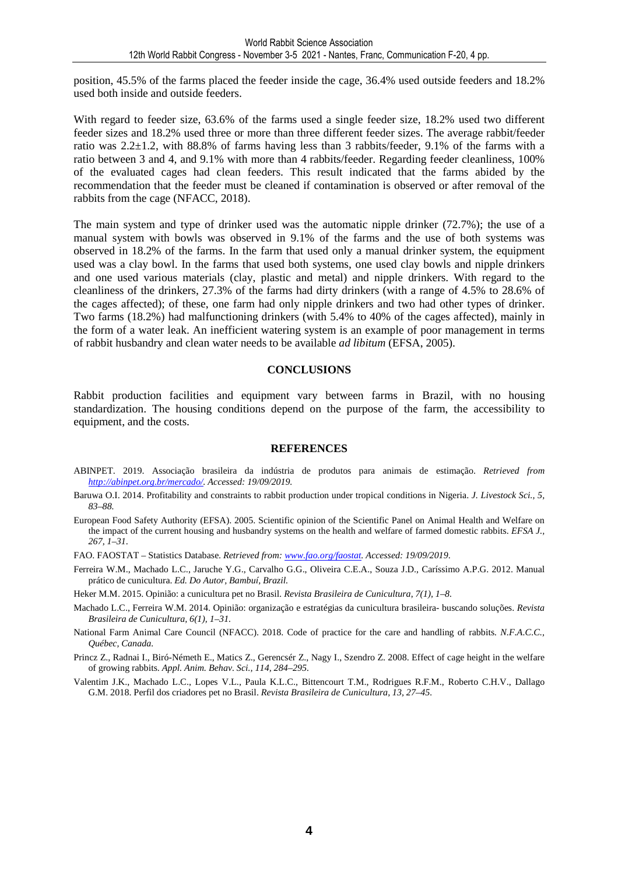position, 45.5% of the farms placed the feeder inside the cage, 36.4% used outside feeders and 18.2% used both inside and outside feeders.

With regard to feeder size, 63.6% of the farms used a single feeder size, 18.2% used two different feeder sizes and 18.2% used three or more than three different feeder sizes. The average rabbit/feeder ratio was 2.2±1.2, with 88.8% of farms having less than 3 rabbits/feeder, 9.1% of the farms with a ratio between 3 and 4, and 9.1% with more than 4 rabbits/feeder. Regarding feeder cleanliness, 100% of the evaluated cages had clean feeders. This result indicated that the farms abided by the recommendation that the feeder must be cleaned if contamination is observed or after removal of the rabbits from the cage (NFACC, 2018).

The main system and type of drinker used was the automatic nipple drinker (72.7%); the use of a manual system with bowls was observed in 9.1% of the farms and the use of both systems was observed in 18.2% of the farms. In the farm that used only a manual drinker system, the equipment used was a clay bowl. In the farms that used both systems, one used clay bowls and nipple drinkers and one used various materials (clay, plastic and metal) and nipple drinkers. With regard to the cleanliness of the drinkers, 27.3% of the farms had dirty drinkers (with a range of 4.5% to 28.6% of the cages affected); of these, one farm had only nipple drinkers and two had other types of drinker. Two farms (18.2%) had malfunctioning drinkers (with 5.4% to 40% of the cages affected), mainly in the form of a water leak. An inefficient watering system is an example of poor management in terms of rabbit husbandry and clean water needs to be available *ad libitum* (EFSA, 2005).

#### **CONCLUSIONS**

Rabbit production facilities and equipment vary between farms in Brazil, with no housing standardization. The housing conditions depend on the purpose of the farm, the accessibility to equipment, and the costs.

#### **REFERENCES**

- ABINPET. 2019. Associação brasileira da indústria de produtos para animais de estimação. *Retrieved from http://abinpet.org.br/mercado/. Accessed: 19/09/2019.*
- Baruwa O.I. 2014. Profitability and constraints to rabbit production under tropical conditions in Nigeria. *J. Livestock Sci., 5, 83–88.*
- European Food Safety Authority (EFSA). 2005. Scientific opinion of the Scientific Panel on Animal Health and Welfare on the impact of the current housing and husbandry systems on the health and welfare of farmed domestic rabbits. *EFSA J., 267, 1–31*.
- FAO. FAOSTAT Statistics Database. *Retrieved from: www.fao.org/faostat. Accessed: 19/09/2019*.
- Ferreira W.M., Machado L.C., Jaruche Y.G., Carvalho G.G., Oliveira C.E.A., Souza J.D., Caríssimo A.P.G. 2012. Manual prático de cunicultura. *Ed. Do Autor, Bambuí, Brazil.*

Heker M.M. 2015. Opinião: a cunicultura pet no Brasil*. Revista Brasileira de Cunicultura*, *7(1), 1–8.* 

- Machado L.C., Ferreira W.M. 2014. Opinião: organização e estratégias da cunicultura brasileira- buscando soluções. *Revista Brasileira de Cunicultura, 6(1), 1–31.*
- National Farm Animal Care Council (NFACC). 2018. Code of practice for the care and handling of rabbits*. N.F.A.C.C., Québec, Canada.*
- Princz Z., Radnai I., Biró-Németh E., Matics Z., Gerencsér Z., Nagy I., Szendro Z. 2008. Effect of cage height in the welfare of growing rabbits. *Appl. Anim. Behav. Sci., 114, 284–295.*
- Valentim J.K., Machado L.C., Lopes V.L., Paula K.L.C., Bittencourt T.M., Rodrigues R.F.M., Roberto C.H.V., Dallago G.M. 2018. Perfil dos criadores pet no Brasil. *Revista Brasileira de Cunicultura, 13, 27–45.*